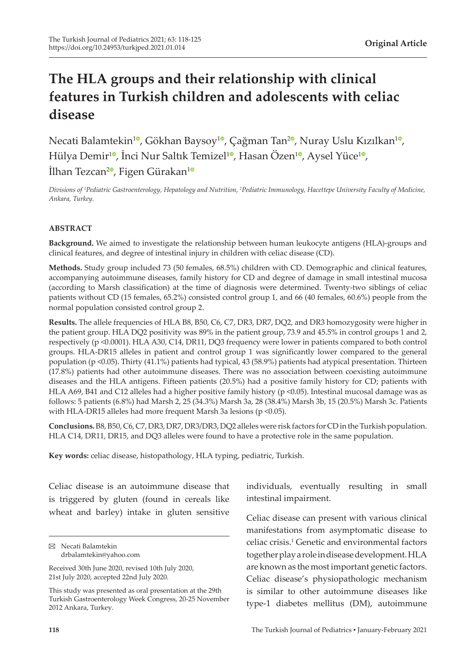# **The HLA groups and their relationship with clinical features in Turkish children and adolescents with celiac disease**

Necati Balamtekin<sup>10</sup>[,](https://orcid.org/0000-0003-3517-6316) Gökhan Baysoy<sup>10</sup>, Çağman Tan<sup>[2](https://orcid.org/0000-0001-6972-1349)0</sup>, Nuray Uslu Kızılkan<sup>[1](https://orcid.org/0000-0002-1098-9604)0</sup>, Hülya Demir<sup>[1](https://orcid.org/0000-0002-9063-3893)0</sup>[,](https://orcid.org/0000-0003-2478-0315) İnci Nur Saltık Temizel<sup>10</sup>, Hasan Özen<sup>10</sup>, Aysel Yüce<sup>10</sup>, İlhan Tezcan<sup>[2](https://orcid.org/0000-0001-7257-4554)</sup><sup>o</sup>, Figen Gürakan<sup>[1](https://orcid.org/0000-0002-0070-9525)</sup><sup>o</sup>

*Divisions of <sup>1</sup> Pediatric Gastroenterology, Hepatology and Nutrition, <sup>2</sup> Pediatric Immunology, Hacettepe University Faculty of Medicine, Ankara, Turkey.*

### **ABSTRACT**

**Background.** We aimed to investigate the relationship between human leukocyte antigens (HLA)-groups and clinical features, and degree of intestinal injury in children with celiac disease (CD).

**Methods.** Study group included 73 (50 females, 68.5%) children with CD. Demographic and clinical features, accompanying autoimmune diseases, family history for CD and degree of damage in small intestinal mucosa (according to Marsh classification) at the time of diagnosis were determined. Twenty-two siblings of celiac patients without CD (15 females, 65.2%) consisted control group 1, and 66 (40 females, 60.6%) people from the normal population consisted control group 2.

**Results.** The allele frequencies of HLA B8, B50, C6, C7, DR3, DR7, DQ2, and DR3 homozygosity were higher in the patient group. HLA DQ2 positivity was 89% in the patient group, 73.9 and 45.5% in control groups 1 and 2, respectively (p <0.0001). HLA A30, C14, DR11, DQ3 frequency were lower in patients compared to both control groups. HLA-DR15 alleles in patient and control group 1 was significantly lower compared to the general population (p <0.05). Thirty (41.1%) patients had typical, 43 (58.9%) patients had atypical presentation. Thirteen (17.8%) patients had other autoimmune diseases. There was no association between coexisting autoimmune diseases and the HLA antigens. Fifteen patients (20.5%) had a positive family history for CD; patients with HLA A69, B41 and C12 alleles had a higher positive family history (p <0.05). Intestinal mucosal damage was as follows: 5 patients (6.8%) had Marsh 2, 25 (34.3%) Marsh 3a, 28 (38.4%) Marsh 3b, 15 (20.5%) Marsh 3c. Patients with HLA-DR15 alleles had more frequent Marsh 3a lesions (p <0.05).

**Conclusions.** B8, B50, C6, C7, DR3, DR7, DR3/DR3, DQ2 alleles were risk factors for CD in the Turkish population. HLA C14, DR11, DR15, and DQ3 alleles were found to have a protective role in the same population.

**Key words:** celiac disease, histopathology, HLA typing, pediatric, Turkish.

Celiac disease is an autoimmune disease that is triggered by gluten (found in cereals like wheat and barley) intake in gluten sensitive

individuals, eventually resulting in small intestinal impairment.

Celiac disease can present with various clinical manifestations from asymptomatic disease to celiac crisis.<sup>1</sup> Genetic and environmental factors together play a role in disease development. HLA are known as the most important genetic factors. Celiac disease's physiopathologic mechanism is similar to other autoimmune diseases like type-1 diabetes mellitus (DM), autoimmune

Necati Balamtekin drbalamtekin@yahoo.com

Received 30th June 2020, revised 10th July 2020, 21st July 2020, accepted 22nd July 2020.

This study was presented as oral presentation at the 29th Turkish Gastroenterology Week Congress, 20-25 November 2012 Ankara, Turkey.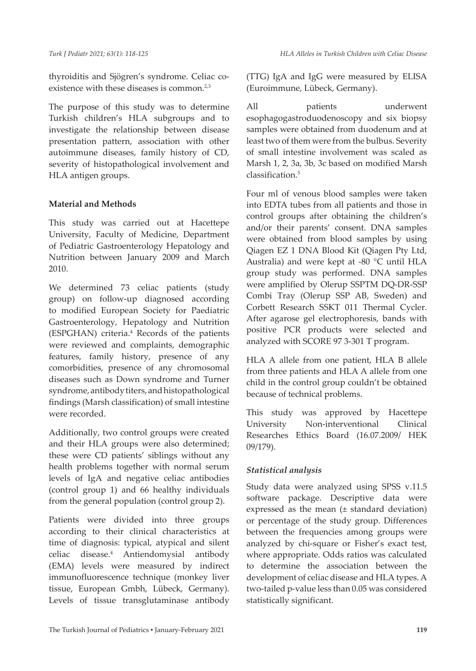thyroiditis and Sjögren's syndrome. Celiac coexistence with these diseases is common.<sup>2,3</sup>

The purpose of this study was to determine Turkish children's HLA subgroups and to investigate the relationship between disease presentation pattern, association with other autoimmune diseases, family history of CD, severity of histopathological involvement and HLA antigen groups.

# **Material and Methods**

This study was carried out at Hacettepe University, Faculty of Medicine, Department of Pediatric Gastroenterology Hepatology and Nutrition between January 2009 and March 2010.

We determined 73 celiac patients (study group) on follow-up diagnosed according to modified European Society for Paediatric Gastroenterology, Hepatology and Nutrition (ESPGHAN) criteria.4 Records of the patients were reviewed and complaints, demographic features, family history, presence of any comorbidities, presence of any chromosomal diseases such as Down syndrome and Turner syndrome, antibody titers, and histopathological findings (Marsh classification) of small intestine were recorded.

Additionally, two control groups were created and their HLA groups were also determined; these were CD patients' siblings without any health problems together with normal serum levels of IgA and negative celiac antibodies (control group 1) and 66 healthy individuals from the general population (control group 2).

Patients were divided into three groups according to their clinical characteristics at time of diagnosis: typical, atypical and silent celiac disease.<sup>4</sup> Antiendomysial antibody (EMA) levels were measured by indirect immunofluorescence technique (monkey liver tissue, European Gmbh, Lübeck, Germany). Levels of tissue transglutaminase antibody (TTG) IgA and IgG were measured by ELISA (Euroimmune, Lübeck, Germany).

All patients underwent esophagogastroduodenoscopy and six biopsy samples were obtained from duodenum and at least two of them were from the bulbus. Severity of small intestine involvement was scaled as Marsh 1, 2, 3a, 3b, 3c based on modified Marsh classification.<sup>5</sup>

Four ml of venous blood samples were taken into EDTA tubes from all patients and those in control groups after obtaining the children's and/or their parents' consent. DNA samples were obtained from blood samples by using Qiagen EZ 1 DNA Blood Kit (Qiagen Pty Ltd, Australia) and were kept at -80 °C until HLA group study was performed. DNA samples were amplified by Olerup SSPTM DQ-DR-SSP Combi Tray (Olerup SSP AB, Sweden) and Corbett Research SSKT 011 Thermal Cycler. After agarose gel electrophoresis, bands with positive PCR products were selected and analyzed with SCORE 97 3-301 T program.

HLA A allele from one patient, HLA B allele from three patients and HLA A allele from one child in the control group couldn't be obtained because of technical problems.

This study was approved by Hacettepe University Non-interventional Clinical Researches Ethics Board (16.07.2009/ HEK 09/179).

# *Statistical analysis*

Study data were analyzed using SPSS v.11.5 software package. Descriptive data were expressed as the mean (± standard deviation) or percentage of the study group. Differences between the frequencies among groups were analyzed by chi-square or Fisher's exact test, where appropriate. Odds ratios was calculated to determine the association between the development of celiac disease and HLA types. A two-tailed p-value less than 0.05 was considered statistically significant.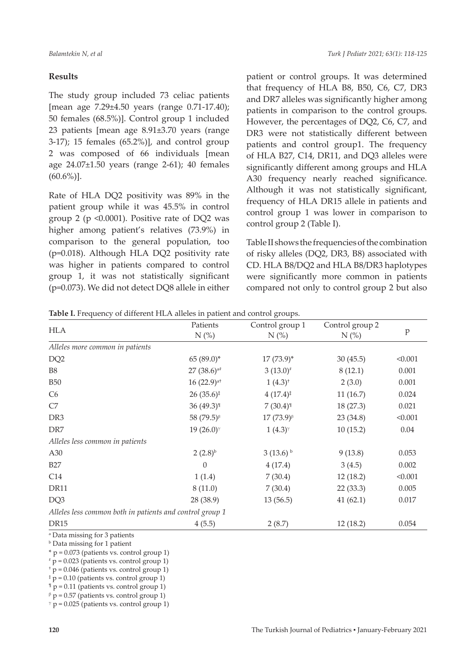# **Results**

The study group included 73 celiac patients [mean age 7.29±4.50 years (range 0.71-17.40); 50 females (68.5%)]. Control group 1 included 23 patients [mean age 8.91±3.70 years (range 3-17); 15 females (65.2%)], and control group 2 was composed of 66 individuals [mean age 24.07±1.50 years (range 2-61); 40 females  $(60.6\%)$ ].

Rate of HLA DQ2 positivity was 89% in the patient group while it was 45.5% in control group 2 (p <0.0001). Positive rate of DQ2 was higher among patient's relatives (73.9%) in comparison to the general population, too (p=0.018). Although HLA DQ2 positivity rate was higher in patients compared to control group 1, it was not statistically significant (p=0.073). We did not detect DQ8 allele in either

patient or control groups. It was determined that frequency of HLA B8, B50, C6, C7, DR3 and DR7 alleles was significantly higher among patients in comparison to the control groups. However, the percentages of DQ2, C6, C7, and DR3 were not statistically different between patients and control group1. The frequency of HLA B27, C14, DR11, and DQ3 alleles were significantly different among groups and HLA A30 frequency nearly reached significance. Although it was not statistically significant, frequency of HLA DR15 allele in patients and control group 1 was lower in comparison to control group 2 (Table I).

Table II shows the frequencies of the combination of risky alleles (DQ2, DR3, B8) associated with CD. HLA B8/DQ2 and HLA B8/DR3 haplotypes were significantly more common in patients compared not only to control group 2 but also

|  | Table I. Frequency of different HLA alleles in patient and control groups. |  |  |
|--|----------------------------------------------------------------------------|--|--|
|  |                                                                            |  |  |

| <b>HLA</b>                                               | Patients                 | Control group 1                         | Control group 2 | p       |
|----------------------------------------------------------|--------------------------|-----------------------------------------|-----------------|---------|
|                                                          | $N$ (%)                  | $N$ (%)                                 | $N$ (%)         |         |
| Alleles more common in patients                          |                          |                                         |                 |         |
| DQ <sub>2</sub>                                          | $65(89.0)$ *             | $17(73.9)^*$                            | 30(45.5)        | < 0.001 |
| <b>B8</b>                                                | $27(38.6)^{a}$           | $3(13.0)^{*}$                           | 8(12.1)         | 0.001   |
| <b>B50</b>                                               | $16(22.9)$ <sup>at</sup> | $1(4.3)^{+}$                            | 2(3.0)          | 0.001   |
| C6                                                       | $26(35.6)^{\ddagger}$    | $4(17.4)^{\ddagger}$                    | 11(16.7)        | 0.024   |
| C7                                                       | $36(49.3)^{1}$           | $7(30.4)$ <sup>1</sup>                  | 18(27.3)        | 0.021   |
| DR <sub>3</sub>                                          | 58 $(79.5)^{\beta}$      | $17(73.9)^{\beta}$                      | 23(34.8)        | < 0.001 |
| DR7                                                      | $19(26.0)$ <sup>y</sup>  | $1(4.3)$ <sup><math>\gamma</math></sup> | 10(15.2)        | 0.04    |
| Alleles less common in patients                          |                          |                                         |                 |         |
| A30                                                      | $2(2.8)^{b}$             | $3(13.6)$ <sup>b</sup>                  | 9(13.8)         | 0.053   |
| <b>B27</b>                                               | $\theta$                 | 4(17.4)                                 | 3(4.5)          | 0.002   |
| C14                                                      | 1(1.4)                   | 7(30.4)                                 | 12(18.2)        | < 0.001 |
| DR11                                                     | 8(11.0)                  | 7(30.4)                                 | 22(33.3)        | 0.005   |
| DQ3                                                      | 28 (38.9)                | 13(56.5)                                | 41(62.1)        | 0.017   |
| Alleles less common both in patients and control group 1 |                          |                                         |                 |         |
| <b>DR15</b>                                              | 4(5.5)                   | 2(8.7)                                  | 12(18.2)        | 0.054   |

a Data missing for 3 patients

b Data missing for 1 patient

 $*$  p = 0.073 (patients vs. control group 1)

# p = 0.023 (patients vs. control group 1)

 $<sup>†</sup>$  p = 0.046 (patients vs. control group 1)</sup>

‡ p = 0.10 (patients vs. control group 1)

 $\mathbb{I}$  p = 0.11 (patients vs. control group 1)

 $β$  p = 0.57 (patients vs. control group 1)

 $\gamma$  p = 0.025 (patients vs. control group 1)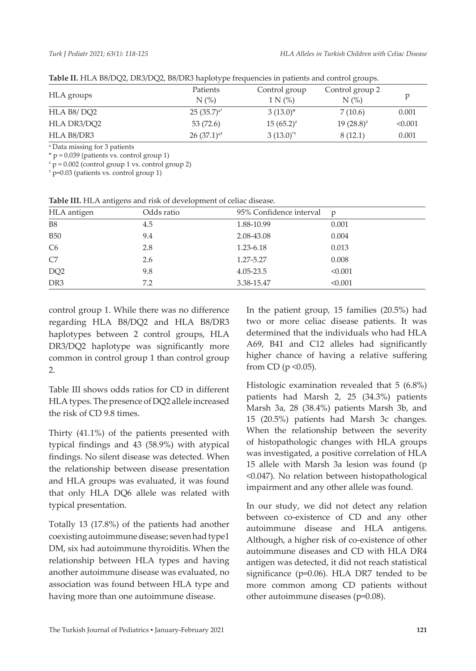|             | - - -                                        |                            |                                           |         |
|-------------|----------------------------------------------|----------------------------|-------------------------------------------|---------|
| HLA groups  | Patients<br>$N$ $\left(\frac{\%}{\%}\right)$ | Control group<br>$1 N$ (%) | Control group 2<br>$N$ $\left(\% \right)$ |         |
| HLA B8/DO2  | $25(35.7)a*$                                 | $3(13.0)^{*}$              | 7(10.6)                                   | 0.001   |
| HLA DR3/DO2 | 53 (72.6)                                    | $15(65.2)^{*}$             | $19(28.8)^{*}$                            | < 0.001 |
| HLA B8/DR3  | $26(37.1)^{at}$                              | $3(13.0)^{4}$              | 8(12.1)                                   | 0.001   |

**Table II.** HLA B8/DQ2, DR3/DQ2, B8/DR3 haplotype frequencies in patients and control groups.

a Data missing for 3 patients

 $*$  p = 0.039 (patients vs. control group 1)

#  $p = 0.002$  (control group 1 vs. control group 2)

† p=0.03 (patients vs. control group 1)

**Table III.** HLA antigens and risk of development of celiac disease.

| HLA antigen     | Odds ratio | 95% Confidence interval | $\mathfrak{p}$ |
|-----------------|------------|-------------------------|----------------|
| B <sub>8</sub>  | 4.5        | 1.88-10.99              | 0.001          |
| <b>B50</b>      | 9.4        | 2.08-43.08              | 0.004          |
| C <sub>6</sub>  | 2.8        | 1.23-6.18               | 0.013          |
| C7              | 2.6        | 1.27-5.27               | 0.008          |
| DQ <sub>2</sub> | 9.8        | 4.05-23.5               | < 0.001        |
| DR <sub>3</sub> | 7.2        | 3.38-15.47              | < 0.001        |

control group 1. While there was no difference regarding HLA B8/DQ2 and HLA B8/DR3 haplotypes between 2 control groups, HLA DR3/DQ2 haplotype was significantly more common in control group 1 than control group 2.

Table III shows odds ratios for CD in different HLA types. The presence of DQ2 allele increased the risk of CD 9.8 times.

Thirty (41.1%) of the patients presented with typical findings and 43 (58.9%) with atypical findings. No silent disease was detected. When the relationship between disease presentation and HLA groups was evaluated, it was found that only HLA DQ6 allele was related with typical presentation.

Totally 13 (17.8%) of the patients had another coexisting autoimmune disease; seven had type1 DM, six had autoimmune thyroiditis. When the relationship between HLA types and having another autoimmune disease was evaluated, no association was found between HLA type and having more than one autoimmune disease.

In the patient group, 15 families (20.5%) had two or more celiac disease patients. It was determined that the individuals who had HLA A69, B41 and C12 alleles had significantly higher chance of having a relative suffering from CD ( $p \le 0.05$ ).

Histologic examination revealed that 5 (6.8%) patients had Marsh 2, 25 (34.3%) patients Marsh 3a, 28 (38.4%) patients Marsh 3b, and 15 (20.5%) patients had Marsh 3c changes. When the relationship between the severity of histopathologic changes with HLA groups was investigated, a positive correlation of HLA 15 allele with Marsh 3a lesion was found (p <0.047). No relation between histopathological impairment and any other allele was found.

In our study, we did not detect any relation between co-existence of CD and any other autoimmune disease and HLA antigens. Although, a higher risk of co-existence of other autoimmune diseases and CD with HLA DR4 antigen was detected, it did not reach statistical significance (p=0.06). HLA DR7 tended to be more common among CD patients without other autoimmune diseases (p=0.08).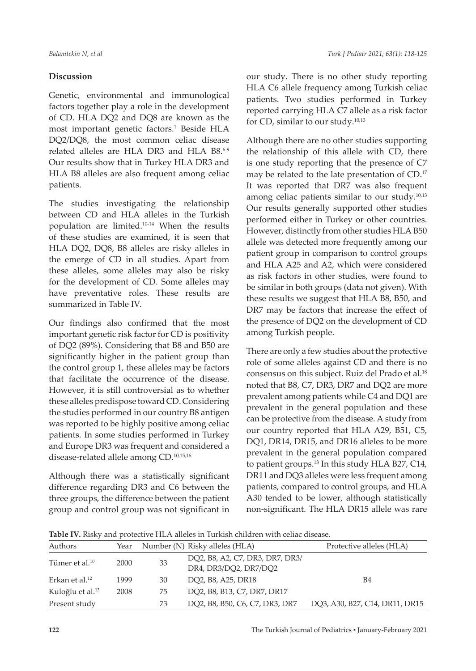# **Discussion**

Genetic, environmental and immunological factors together play a role in the development of CD. HLA DQ2 and DQ8 are known as the most important genetic factors.<sup>1</sup> Beside HLA DQ2/DQ8, the most common celiac disease related alleles are HLA DR3 and HLA B8.6-9 Our results show that in Turkey HLA DR3 and HLA B8 alleles are also frequent among celiac patients.

The studies investigating the relationship between CD and HLA alleles in the Turkish population are limited.10-14 When the results of these studies are examined, it is seen that HLA DQ2, DQ8, B8 alleles are risky alleles in the emerge of CD in all studies. Apart from these alleles, some alleles may also be risky for the development of CD. Some alleles may have preventative roles. These results are summarized in Table IV.

Our findings also confirmed that the most important genetic risk factor for CD is positivity of DQ2 (89%). Considering that B8 and B50 are significantly higher in the patient group than the control group 1, these alleles may be factors that facilitate the occurrence of the disease. However, it is still controversial as to whether these alleles predispose toward CD. Considering the studies performed in our country B8 antigen was reported to be highly positive among celiac patients. In some studies performed in Turkey and Europe DR3 was frequent and considered a disease-related allele among CD.10,15,16

Although there was a statistically significant difference regarding DR3 and C6 between the three groups, the difference between the patient group and control group was not significant in our study. There is no other study reporting HLA C6 allele frequency among Turkish celiac patients. Two studies performed in Turkey reported carrying HLA C7 allele as a risk factor for CD, similar to our study.10,13

Although there are no other studies supporting the relationship of this allele with CD, there is one study reporting that the presence of C7 may be related to the late presentation of CD.17 It was reported that DR7 was also frequent among celiac patients similar to our study.<sup>10,13</sup> Our results generally supported other studies performed either in Turkey or other countries. However, distinctly from other studies HLA B50 allele was detected more frequently among our patient group in comparison to control groups and HLA A25 and A2, which were considered as risk factors in other studies, were found to be similar in both groups (data not given). With these results we suggest that HLA B8, B50, and DR7 may be factors that increase the effect of the presence of DQ2 on the development of CD among Turkish people.

There are only a few studies about the protective role of some alleles against CD and there is no consensus on this subject. Ruiz del Prado et al.<sup>18</sup> noted that B8, C7, DR3, DR7 and DQ2 are more prevalent among patients while C4 and DQ1 are prevalent in the general population and these can be protective from the disease. A study from our country reported that HLA A29, B51, C5, DQ1, DR14, DR15, and DR16 alleles to be more prevalent in the general population compared to patient groups.<sup>13</sup> In this study HLA B27, C14, DR11 and DQ3 alleles were less frequent among patients, compared to control groups, and HLA A30 tended to be lower, although statistically non-significant. The HLA DR15 allele was rare

| Authors                      | Year |    | Number (N) Risky alleles (HLA)                                                                                           | Protective alleles (HLA)       |
|------------------------------|------|----|--------------------------------------------------------------------------------------------------------------------------|--------------------------------|
| Tümer et al. <sup>10</sup>   | 2000 | 33 | DQ2, B8, A2, C7, DR3, DR7, DR3/<br>DR4, DR3/DQ2, DR7/DQ2                                                                 |                                |
| Erkan et al. <sup>12</sup>   | 1999 | 30 | DO2, B8, A25, DR18                                                                                                       | <b>B4</b>                      |
| Kuloğlu et al. <sup>13</sup> | 2008 | 75 | DO2, B8, B13, C7, DR7, DR17                                                                                              |                                |
| Present study                |      | 73 | DO <sub>2</sub> , B <sub>8</sub> , B <sub>50</sub> , C <sub>6</sub> , C <sub>7</sub> , DR <sub>3</sub> , DR <sub>7</sub> | DO3, A30, B27, C14, DR11, DR15 |

**Table IV.** Risky and protective HLA alleles in Turkish children with celiac disease.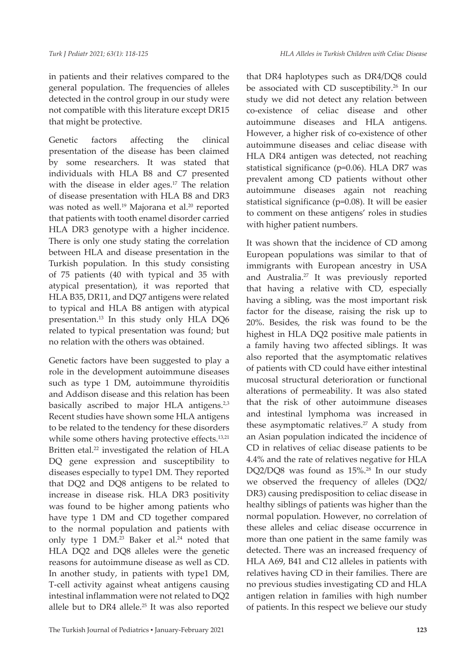in patients and their relatives compared to the general population. The frequencies of alleles detected in the control group in our study were not compatible with this literature except DR15 that might be protective.

Genetic factors affecting the clinical presentation of the disease has been claimed by some researchers. It was stated that individuals with HLA B8 and C7 presented with the disease in elder ages. $17$  The relation of disease presentation with HLA B8 and DR3 was noted as well.<sup>19</sup> Majorana et al.<sup>20</sup> reported that patients with tooth enamel disorder carried HLA DR3 genotype with a higher incidence. There is only one study stating the correlation between HLA and disease presentation in the Turkish population. In this study consisting of 75 patients (40 with typical and 35 with atypical presentation), it was reported that HLA B35, DR11, and DQ7 antigens were related to typical and HLA B8 antigen with atypical presentation.<sup>13</sup> In this study only HLA DQ6 related to typical presentation was found; but no relation with the others was obtained.

Genetic factors have been suggested to play a role in the development autoimmune diseases such as type 1 DM, autoimmune thyroiditis and Addison disease and this relation has been basically ascribed to major HLA antigens.<sup>2,3</sup> Recent studies have shown some HLA antigens to be related to the tendency for these disorders while some others having protective effects.<sup>13,21</sup> Britten etal.<sup>22</sup> investigated the relation of HLA DQ gene expression and susceptibility to diseases especially to type1 DM. They reported that DQ2 and DQ8 antigens to be related to increase in disease risk. HLA DR3 positivity was found to be higher among patients who have type 1 DM and CD together compared to the normal population and patients with only type 1 DM.<sup>23</sup> Baker et al.<sup>24</sup> noted that HLA DQ2 and DQ8 alleles were the genetic reasons for autoimmune disease as well as CD. In another study, in patients with type1 DM, T-cell activity against wheat antigens causing intestinal inflammation were not related to DQ2 allele but to DR4 allele.<sup>25</sup> It was also reported

that DR4 haplotypes such as DR4/DQ8 could be associated with CD susceptibility.<sup>26</sup> In our study we did not detect any relation between co-existence of celiac disease and other autoimmune diseases and HLA antigens. However, a higher risk of co-existence of other autoimmune diseases and celiac disease with HLA DR4 antigen was detected, not reaching statistical significance (p=0.06). HLA DR7 was prevalent among CD patients without other autoimmune diseases again not reaching statistical significance (p=0.08). It will be easier to comment on these antigens' roles in studies with higher patient numbers.

It was shown that the incidence of CD among European populations was similar to that of immigrants with European ancestry in USA and Australia.27 It was previously reported that having a relative with CD, especially having a sibling, was the most important risk factor for the disease, raising the risk up to 20%. Besides, the risk was found to be the highest in HLA DQ2 positive male patients in a family having two affected siblings. It was also reported that the asymptomatic relatives of patients with CD could have either intestinal mucosal structural deterioration or functional alterations of permeability. It was also stated that the risk of other autoimmune diseases and intestinal lymphoma was increased in these asymptomatic relatives.<sup>27</sup> A study from an Asian population indicated the incidence of CD in relatives of celiac disease patients to be 4.4% and the rate of relatives negative for HLA DQ2/DQ8 was found as 15%.<sup>28</sup> In our study we observed the frequency of alleles (DQ2/ DR3) causing predisposition to celiac disease in healthy siblings of patients was higher than the normal population. However, no correlation of these alleles and celiac disease occurrence in more than one patient in the same family was detected. There was an increased frequency of HLA A69, B41 and C12 alleles in patients with relatives having CD in their families. There are no previous studies investigating CD and HLA antigen relation in families with high number of patients. In this respect we believe our study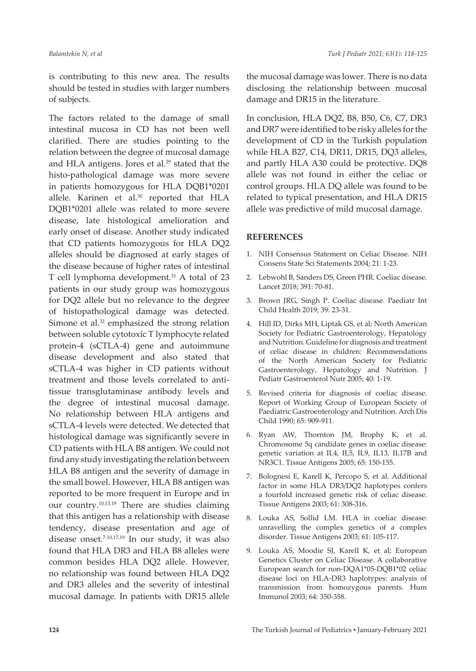is contributing to this new area. The results should be tested in studies with larger numbers of subjects.

The factors related to the damage of small intestinal mucosa in CD has not been well clarified. There are studies pointing to the relation between the degree of mucosal damage and HLA antigens. Jores et al.<sup>29</sup> stated that the histo-pathological damage was more severe in patients homozygous for HLA DQB1\*0201 allele. Karinen et al.<sup>30</sup> reported that HLA DQB1\*0201 allele was related to more severe disease, late histological amelioration and early onset of disease. Another study indicated that CD patients homozygous for HLA DQ2 alleles should be diagnosed at early stages of the disease because of higher rates of intestinal T cell lymphoma development.<sup>31</sup> A total of 23 patients in our study group was homozygous for DQ2 allele but no relevance to the degree of histopathological damage was detected. Simone et al.<sup>32</sup> emphasized the strong relation between soluble cytotoxic T lymphocyte related protein-4 (sCTLA-4) gene and autoimmune disease development and also stated that sCTLA-4 was higher in CD patients without treatment and those levels correlated to antitissue transglutaminase antibody levels and the degree of intestinal mucosal damage. No relationship between HLA antigens and sCTLA-4 levels were detected. We detected that histological damage was significantly severe in CD patients with HLA B8 antigen. We could not find any study investigating the relation between HLA B8 antigen and the severity of damage in the small bowel. However, HLA B8 antigen was reported to be more frequent in Europe and in our country.10,13,19 There are studies claiming that this antigen has a relationship with disease tendency, disease presentation and age of disease onset.<sup>7-10,17,19</sup> In our study, it was also found that HLA DR3 and HLA B8 alleles were common besides HLA DQ2 allele. However, no relationship was found between HLA DQ2 and DR3 alleles and the severity of intestinal mucosal damage. In patients with DR15 allele

the mucosal damage was lower. There is no data disclosing the relationship between mucosal damage and DR15 in the literature.

In conclusion, HLA DQ2, B8, B50, C6, C7, DR3 and DR7 were identified to be risky alleles for the development of CD in the Turkish population while HLA B27, C14, DR11, DR15, DQ3 alleles, and partly HLA A30 could be protective. DQ8 allele was not found in either the celiac or control groups. HLA DQ allele was found to be related to typical presentation, and HLA DR15 allele was predictive of mild mucosal damage.

#### **REFERENCES**

- 1. NIH Consensus Statement on Celiac Disease. NIH Consens State Sci Statements 2004; 21: 1-23.
- 2. Lebwohl B, Sanders DS, Green PHR. Coeliac disease. Lancet 2018; 391: 70-81.
- 3. Brown JRG, Singh P. Coeliac disease. Paediatr Int Child Health 2019; 39: 23-31.
- 4. Hill ID, Dirks MH, Liptak GS, et al; North American Society for Pediatric Gastroenterology, Hepatology and Nutrition. Guideline for diagnosis and treatment of celiac disease in children: Recommendations of the North American Society for Pediatric Gastroenterology, Hepatology and Nutrition. J Pediatr Gastroenterol Nutr 2005; 40: 1-19.
- 5. Revised criteria for diagnosis of coeliac disease. Report of Working Group of European Society of Paediatric Gastroenterology and Nutrition. Arch Dis Child 1990; 65: 909-911.
- 6. Ryan AW, Thornton JM, Brophy K, et al. Chromosome 5q candidate genes in coeliac disease: genetic variation at IL4, IL5, IL9, IL13, IL17B and NR3C1. Tissue Antigens 2005; 65: 150-155.
- 7. Bolognesi E, Karell K, Percopo S, et al. Additional factor in some HLA DR3/DQ2 haplotypes confers a fourfold increased genetic risk of celiac disease. Tissue Antigens 2003; 61: 308-316.
- 8. Louka AS, Sollid LM. HLA in coeliac disease: unravelling the complex genetics of a complex disorder. Tissue Antigens 2003; 61: 105-117.
- 9. Louka AS, Moodie SJ, Karell K, et al; European Genetics Cluster on Celiac Disease. A collaborative European search for non-DQA1\*05-DQB1\*02 celiac disease loci on HLA-DR3 haplotypes: analysis of transmission from homozygous parents. Hum Immunol 2003; 64: 350-358.